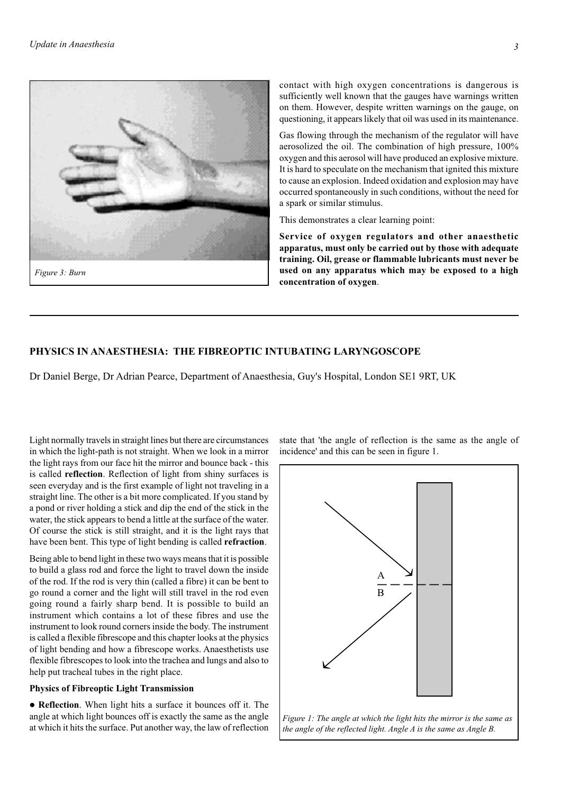# **PHYSICS IN ANAESTHESIA: THE FIBREOPTIC INTUBATING LARYNGOSCOPE**

Dr Daniel Berge, Dr Adrian Pearce, Department of Anaesthesia, Guy's Hospital, London SE1 9RT, UK

Light normally travels in straight lines but there are circumstances in which the light-path is not straight. When we look in a mirror the light rays from our face hit the mirror and bounce back - this is called **reflection**. Reflection of light from shiny surfaces is seen everyday and is the first example of light not traveling in a straight line. The other is a bit more complicated. If you stand by a pond or river holding a stick and dip the end of the stick in the water, the stick appears to bend a little at the surface of the water. Of course the stick is still straight, and it is the light rays that have been bent. This type of light bending is called **refraction**.

Being able to bend light in these two ways means that it is possible to build a glass rod and force the light to travel down the inside of the rod. If the rod is very thin (called a fibre) it can be bent to go round a corner and the light will still travel in the rod even going round a fairly sharp bend. It is possible to build an instrument which contains a lot of these fibres and use the instrument to look round corners inside the body. The instrument is called a flexible fibrescope and this chapter looks at the physics of light bending and how a fibrescope works. Anaesthetists use flexible fibrescopes to look into the trachea and lungs and also to help put tracheal tubes in the right place.

# **Physics of Fibreoptic Light Transmission**

 **Reflection**. When light hits a surface it bounces off it. The angle at which light bounces off is exactly the same as the angle at which it hits the surface. Put another way, the law of reflection state that 'the angle of reflection is the same as the angle of incidence' and this can be seen in figure 1.



*Figure 1: The angle at which the light hits the mirror is the same as the angle of the reflected light. Angle A is the same as Angle B.*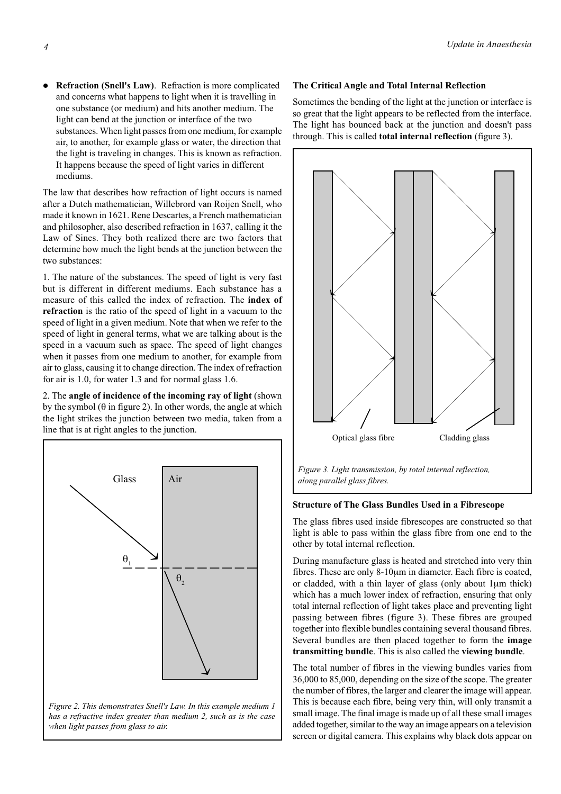**Refraction (Snell's Law)**. Refraction is more complicated and concerns what happens to light when it is travelling in one substance (or medium) and hits another medium. The light can bend at the junction or interface of the two substances. When light passes from one medium, for example air, to another, for example glass or water, the direction that the light is traveling in changes. This is known as refraction. It happens because the speed of light varies in different mediums.

The law that describes how refraction of light occurs is named after a Dutch mathematician, Willebrord van Roijen Snell, who made it known in 1621. Rene Descartes, a French mathematician and philosopher, also described refraction in 1637, calling it the Law of Sines. They both realized there are two factors that determine how much the light bends at the junction between the two substances:

1. The nature of the substances. The speed of light is very fast but is different in different mediums. Each substance has a measure of this called the index of refraction. The **index of refraction** is the ratio of the speed of light in a vacuum to the speed of light in a given medium. Note that when we refer to the speed of light in general terms, what we are talking about is the speed in a vacuum such as space. The speed of light changes when it passes from one medium to another, for example from air to glass, causing it to change direction. The index of refraction for air is 1.0, for water 1.3 and for normal glass 1.6.

2. The **angle of incidence of the incoming ray of light** (shown by the symbol ( $\theta$  in figure 2). In other words, the angle at which the light strikes the junction between two media, taken from a line that is at right angles to the junction.



*has a refractive index greater than medium 2, such as is the case when light passes from glass to air.*

# **The Critical Angle and Total Internal Reflection**

Sometimes the bending of the light at the junction or interface is so great that the light appears to be reflected from the interface. The light has bounced back at the junction and doesn't pass through. This is called **total internal reflection** (figure 3).



#### **Structure of The Glass Bundles Used in a Fibrescope**

The glass fibres used inside fibrescopes are constructed so that light is able to pass within the glass fibre from one end to the other by total internal reflection.

During manufacture glass is heated and stretched into very thin fibres. These are only 8-10µm in diameter. Each fibre is coated, or cladded, with a thin layer of glass (only about 1µm thick) which has a much lower index of refraction, ensuring that only total internal reflection of light takes place and preventing light passing between fibres (figure 3). These fibres are grouped together into flexible bundles containing several thousand fibres. Several bundles are then placed together to form the **image transmitting bundle**. This is also called the **viewing bundle**.

The total number of fibres in the viewing bundles varies from 36,000 to 85,000, depending on the size of the scope. The greater the number of fibres, the larger and clearer the image will appear. This is because each fibre, being very thin, will only transmit a small image. The final image is made up of all these small images added together, similar to the way an image appears on a television screen or digital camera. This explains why black dots appear on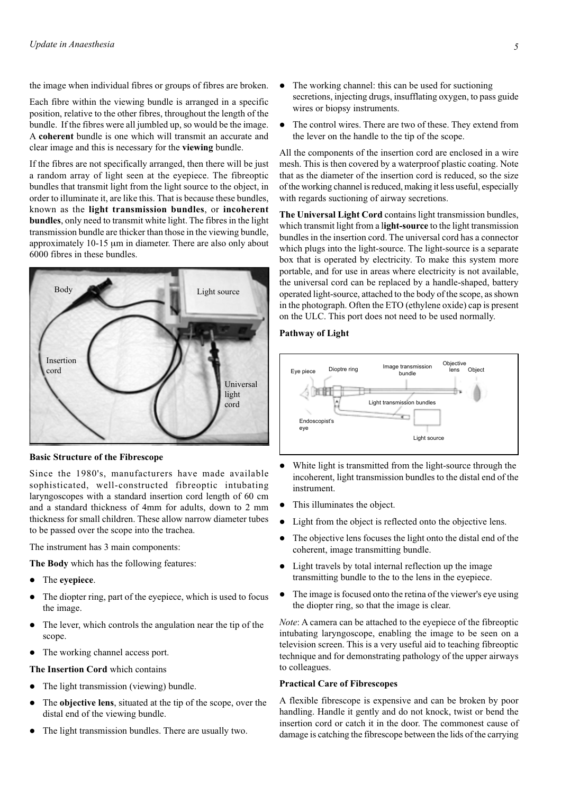the image when individual fibres or groups of fibres are broken.

Each fibre within the viewing bundle is arranged in a specific position, relative to the other fibres, throughout the length of the bundle. If the fibres were all jumbled up, so would be the image. A **coherent** bundle is one which will transmit an accurate and clear image and this is necessary for the **viewing** bundle.

If the fibres are not specifically arranged, then there will be just a random array of light seen at the eyepiece. The fibreoptic bundles that transmit light from the light source to the object, in order to illuminate it, are like this. That is because these bundles, known as the **light transmission bundles**, or **incoherent bundles**, only need to transmit white light. The fibres in the light transmission bundle are thicker than those in the viewing bundle, approximately 10-15 µm in diameter. There are also only about 6000 fibres in these bundles.



**Basic Structure of the Fibrescope**

Since the 1980's, manufacturers have made available sophisticated, well-constructed fibreoptic intubating laryngoscopes with a standard insertion cord length of 60 cm and a standard thickness of 4mm for adults, down to 2 mm thickness for small children. These allow narrow diameter tubes to be passed over the scope into the trachea.

The instrument has 3 main components:

**The Body** which has the following features:

- The **eyepiece**.
- The diopter ring, part of the eyepiece, which is used to focus the image.
- The lever, which controls the angulation near the tip of the scope.
- The working channel access port.

**The Insertion Cord** which contains

- The light transmission (viewing) bundle.
- The **objective lens**, situated at the tip of the scope, over the distal end of the viewing bundle.
- The light transmission bundles. There are usually two.
- The working channel: this can be used for suctioning secretions, injecting drugs, insufflating oxygen, to pass guide wires or biopsy instruments.
- The control wires. There are two of these. They extend from the lever on the handle to the tip of the scope.

All the components of the insertion cord are enclosed in a wire mesh. This is then covered by a waterproof plastic coating. Note that as the diameter of the insertion cord is reduced, so the size of the working channel is reduced, making it less useful, especially with regards suctioning of airway secretions.

**The Universal Light Cord** contains light transmission bundles, which transmit light from a l**ight-source** to the light transmission bundles in the insertion cord. The universal cord has a connector which plugs into the light-source. The light-source is a separate box that is operated by electricity. To make this system more portable, and for use in areas where electricity is not available, the universal cord can be replaced by a handle-shaped, battery operated light-source, attached to the body of the scope, as shown in the photograph. Often the ETO (ethylene oxide) cap is present on the ULC. This port does not need to be used normally.

## **Pathway of Light**



- White light is transmitted from the light-source through the incoherent, light transmission bundles to the distal end of the instrument.
- This illuminates the object.
- Light from the object is reflected onto the objective lens.
- The objective lens focuses the light onto the distal end of the coherent, image transmitting bundle.
- Light travels by total internal reflection up the image transmitting bundle to the to the lens in the eyepiece.
- The image is focused onto the retina of the viewer's eye using the diopter ring, so that the image is clear.

*Note*: A camera can be attached to the eyepiece of the fibreoptic intubating laryngoscope, enabling the image to be seen on a television screen. This is a very useful aid to teaching fibreoptic technique and for demonstrating pathology of the upper airways to colleagues.

# **Practical Care of Fibrescopes**

A flexible fibrescope is expensive and can be broken by poor handling. Handle it gently and do not knock, twist or bend the insertion cord or catch it in the door. The commonest cause of damage is catching the fibrescope between the lids of the carrying